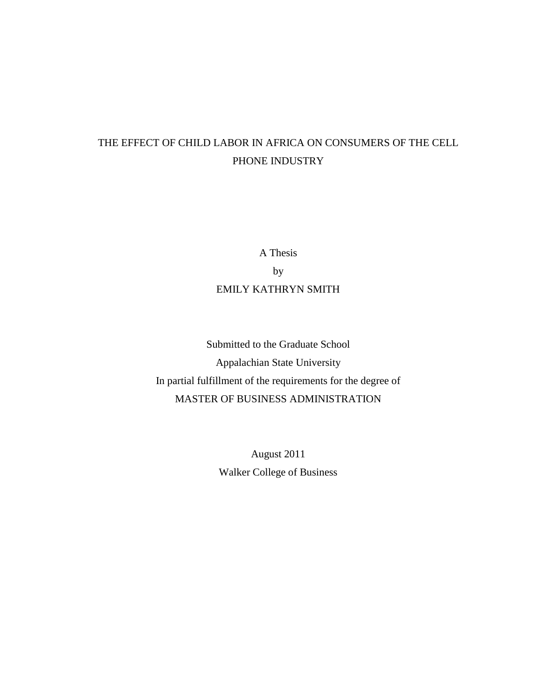# THE EFFECT OF CHILD LABOR IN AFRICA ON CONSUMERS OF THE CELL PHONE INDUSTRY

A Thesis by EMILY KATHRYN SMITH

Submitted to the Graduate School Appalachian State University In partial fulfillment of the requirements for the degree of MASTER OF BUSINESS ADMINISTRATION

> August 2011 Walker College of Business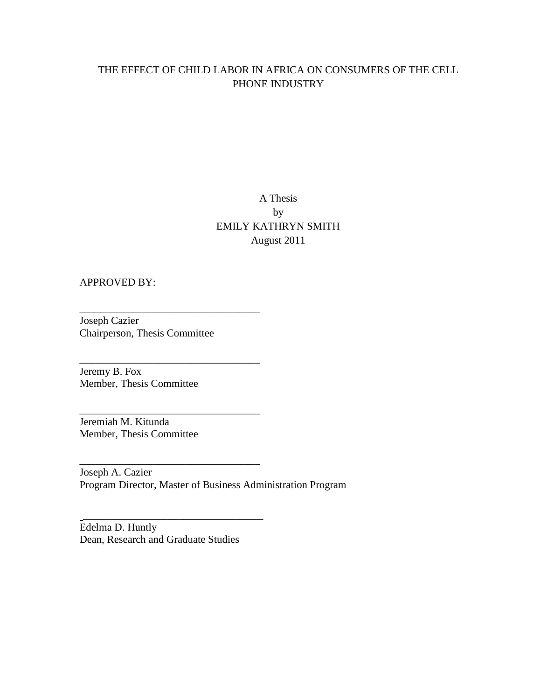# THE EFFECT OF CHILD LABOR IN AFRICA ON CONSUMERS OF THE CELL PHONE INDUSTRY

# A Thesis by EMILY KATHRYN SMITH August 2011

# APPROVED BY:

Joseph Cazier Chairperson, Thesis Committee

\_\_\_\_\_\_\_\_\_\_\_\_\_\_\_\_\_\_\_\_\_\_\_\_\_\_\_\_\_\_\_\_\_\_

\_\_\_\_\_\_\_\_\_\_\_\_\_\_\_\_\_\_\_\_\_\_\_\_\_\_\_\_\_\_\_\_\_\_

\_\_\_\_\_\_\_\_\_\_\_\_\_\_\_\_\_\_\_\_\_\_\_\_\_\_\_\_\_\_\_\_\_\_

\_\_\_\_\_\_\_\_\_\_\_\_\_\_\_\_\_\_\_\_\_\_\_\_\_\_\_\_\_\_\_\_\_\_

\_\_\_\_\_\_\_\_\_\_\_\_\_\_\_\_\_\_\_\_\_\_\_\_\_\_\_\_\_\_\_\_\_\_

Jeremy B. Fox Member, Thesis Committee

Jeremiah M. Kitunda Member, Thesis Committee

Joseph A. Cazier Program Director, Master of Business Administration Program

Edelma D. Huntly Dean, Research and Graduate Studies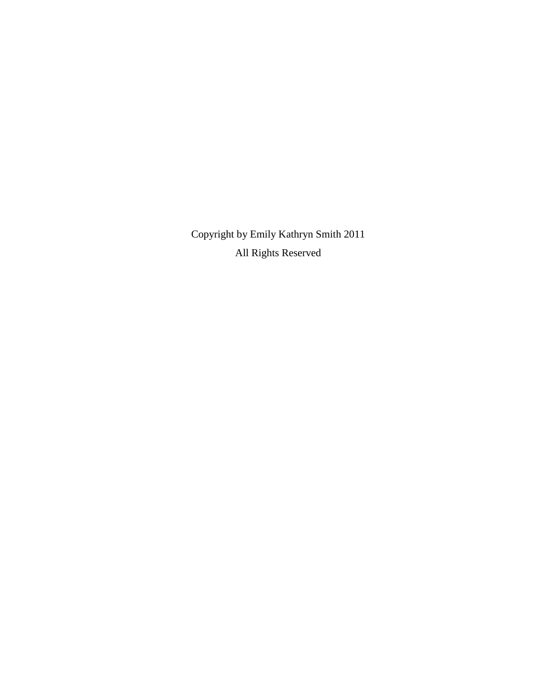Copyright by Emily Kathryn Smith 2011 All Rights Reserved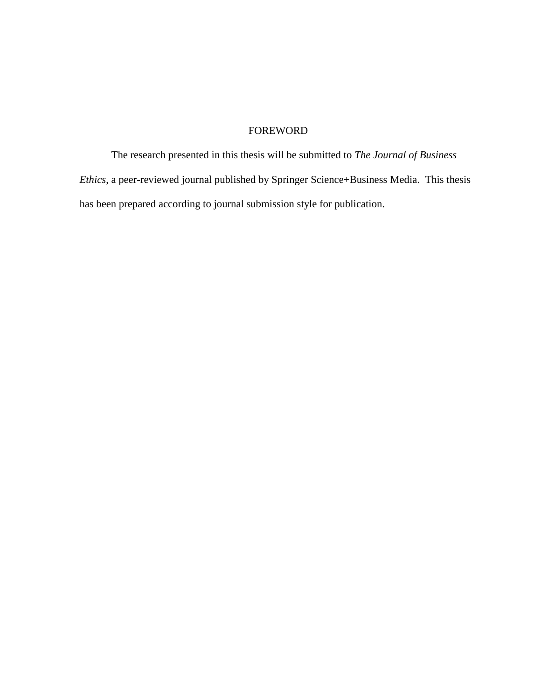# FOREWORD

The research presented in this thesis will be submitted to *The Journal of Business Ethics*, a peer-reviewed journal published by Springer Science+Business Media. This thesis has been prepared according to journal submission style for publication.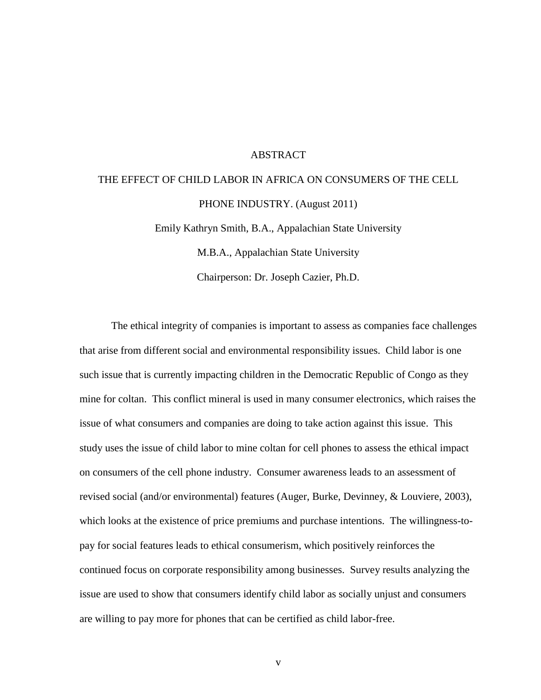## ABSTRACT

# THE EFFECT OF CHILD LABOR IN AFRICA ON CONSUMERS OF THE CELL PHONE INDUSTRY. (August 2011) Emily Kathryn Smith, B.A., Appalachian State University M.B.A., Appalachian State University

Chairperson: Dr. Joseph Cazier, Ph.D.

The ethical integrity of companies is important to assess as companies face challenges that arise from different social and environmental responsibility issues. Child labor is one such issue that is currently impacting children in the Democratic Republic of Congo as they mine for coltan. This conflict mineral is used in many consumer electronics, which raises the issue of what consumers and companies are doing to take action against this issue. This study uses the issue of child labor to mine coltan for cell phones to assess the ethical impact on consumers of the cell phone industry. Consumer awareness leads to an assessment of revised social (and/or environmental) features (Auger, Burke, Devinney, & Louviere, 2003), which looks at the existence of price premiums and purchase intentions. The willingness-topay for social features leads to ethical consumerism, which positively reinforces the continued focus on corporate responsibility among businesses. Survey results analyzing the issue are used to show that consumers identify child labor as socially unjust and consumers are willing to pay more for phones that can be certified as child labor-free.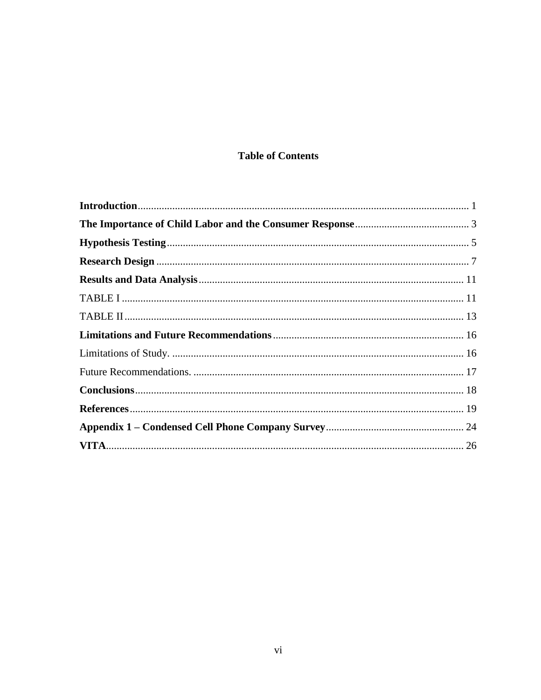# **Table of Contents**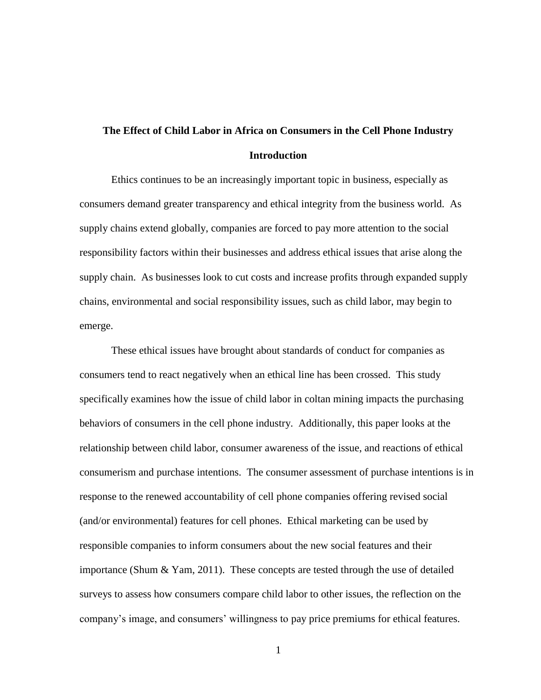# **The Effect of Child Labor in Africa on Consumers in the Cell Phone Industry Introduction**

<span id="page-6-0"></span>Ethics continues to be an increasingly important topic in business, especially as consumers demand greater transparency and ethical integrity from the business world. As supply chains extend globally, companies are forced to pay more attention to the social responsibility factors within their businesses and address ethical issues that arise along the supply chain. As businesses look to cut costs and increase profits through expanded supply chains, environmental and social responsibility issues, such as child labor, may begin to emerge.

These ethical issues have brought about standards of conduct for companies as consumers tend to react negatively when an ethical line has been crossed. This study specifically examines how the issue of child labor in coltan mining impacts the purchasing behaviors of consumers in the cell phone industry. Additionally, this paper looks at the relationship between child labor, consumer awareness of the issue, and reactions of ethical consumerism and purchase intentions. The consumer assessment of purchase intentions is in response to the renewed accountability of cell phone companies offering revised social (and/or environmental) features for cell phones. Ethical marketing can be used by responsible companies to inform consumers about the new social features and their importance (Shum & Yam, 2011). These concepts are tested through the use of detailed surveys to assess how consumers compare child labor to other issues, the reflection on the company's image, and consumers' willingness to pay price premiums for ethical features.

1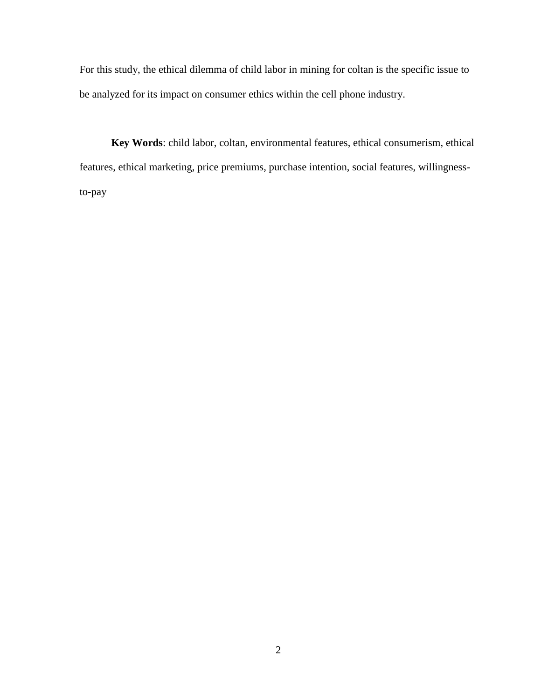For this study, the ethical dilemma of child labor in mining for coltan is the specific issue to be analyzed for its impact on consumer ethics within the cell phone industry.

**Key Words**: child labor, coltan, environmental features, ethical consumerism, ethical features, ethical marketing, price premiums, purchase intention, social features, willingnessto-pay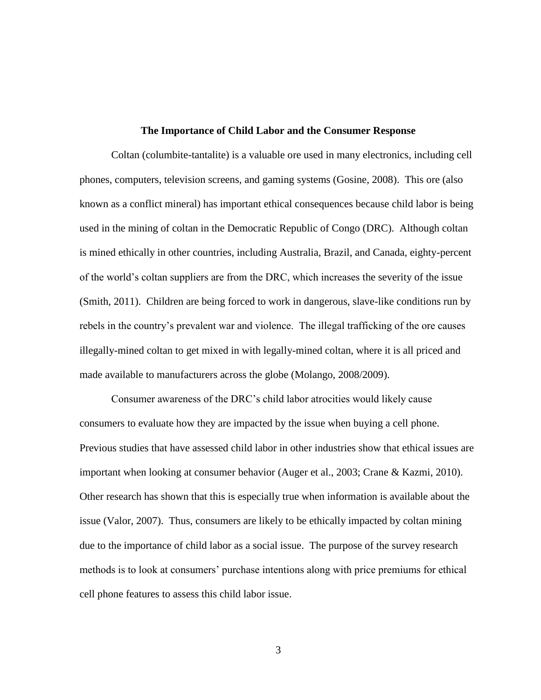### **The Importance of Child Labor and the Consumer Response**

<span id="page-8-0"></span>Coltan (columbite-tantalite) is a valuable ore used in many electronics, including cell phones, computers, television screens, and gaming systems (Gosine, 2008). This ore (also known as a conflict mineral) has important ethical consequences because child labor is being used in the mining of coltan in the Democratic Republic of Congo (DRC). Although coltan is mined ethically in other countries, including Australia, Brazil, and Canada, eighty-percent of the world's coltan suppliers are from the DRC, which increases the severity of the issue (Smith, 2011). Children are being forced to work in dangerous, slave-like conditions run by rebels in the country's prevalent war and violence. The illegal trafficking of the ore causes illegally-mined coltan to get mixed in with legally-mined coltan, where it is all priced and made available to manufacturers across the globe (Molango, 2008/2009).

Consumer awareness of the DRC's child labor atrocities would likely cause consumers to evaluate how they are impacted by the issue when buying a cell phone. Previous studies that have assessed child labor in other industries show that ethical issues are important when looking at consumer behavior (Auger et al., 2003; Crane & Kazmi, 2010). Other research has shown that this is especially true when information is available about the issue (Valor, 2007). Thus, consumers are likely to be ethically impacted by coltan mining due to the importance of child labor as a social issue. The purpose of the survey research methods is to look at consumers' purchase intentions along with price premiums for ethical cell phone features to assess this child labor issue.

3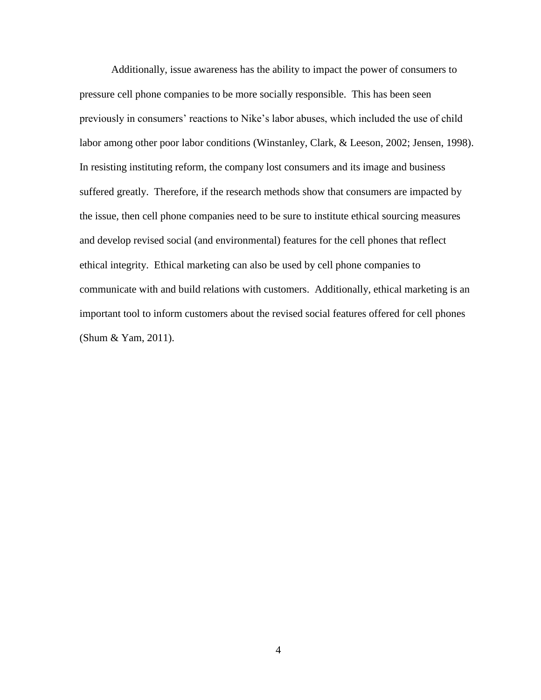Additionally, issue awareness has the ability to impact the power of consumers to pressure cell phone companies to be more socially responsible. This has been seen previously in consumers' reactions to Nike's labor abuses, which included the use of child labor among other poor labor conditions (Winstanley, Clark, & Leeson, 2002; Jensen, 1998). In resisting instituting reform, the company lost consumers and its image and business suffered greatly. Therefore, if the research methods show that consumers are impacted by the issue, then cell phone companies need to be sure to institute ethical sourcing measures and develop revised social (and environmental) features for the cell phones that reflect ethical integrity. Ethical marketing can also be used by cell phone companies to communicate with and build relations with customers. Additionally, ethical marketing is an important tool to inform customers about the revised social features offered for cell phones (Shum & Yam, 2011).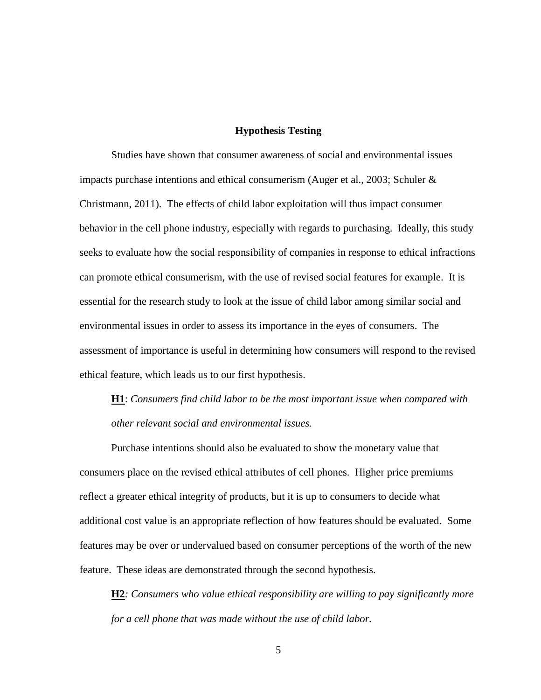# **Hypothesis Testing**

<span id="page-10-0"></span>Studies have shown that consumer awareness of social and environmental issues impacts purchase intentions and ethical consumerism (Auger et al., 2003; Schuler & Christmann, 2011). The effects of child labor exploitation will thus impact consumer behavior in the cell phone industry, especially with regards to purchasing. Ideally, this study seeks to evaluate how the social responsibility of companies in response to ethical infractions can promote ethical consumerism, with the use of revised social features for example. It is essential for the research study to look at the issue of child labor among similar social and environmental issues in order to assess its importance in the eyes of consumers. The assessment of importance is useful in determining how consumers will respond to the revised ethical feature, which leads us to our first hypothesis.

**H1**: *Consumers find child labor to be the most important issue when compared with other relevant social and environmental issues.*

Purchase intentions should also be evaluated to show the monetary value that consumers place on the revised ethical attributes of cell phones. Higher price premiums reflect a greater ethical integrity of products, but it is up to consumers to decide what additional cost value is an appropriate reflection of how features should be evaluated. Some features may be over or undervalued based on consumer perceptions of the worth of the new feature. These ideas are demonstrated through the second hypothesis.

**H2***: Consumers who value ethical responsibility are willing to pay significantly more for a cell phone that was made without the use of child labor.*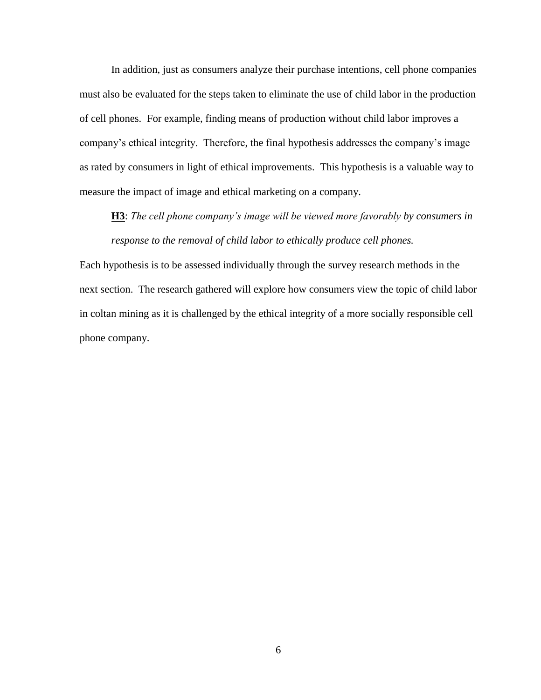In addition, just as consumers analyze their purchase intentions, cell phone companies must also be evaluated for the steps taken to eliminate the use of child labor in the production of cell phones. For example, finding means of production without child labor improves a company's ethical integrity. Therefore, the final hypothesis addresses the company's image as rated by consumers in light of ethical improvements. This hypothesis is a valuable way to measure the impact of image and ethical marketing on a company.

**H3**: *The cell phone company's image will be viewed more favorably by consumers in response to the removal of child labor to ethically produce cell phones.*

Each hypothesis is to be assessed individually through the survey research methods in the next section. The research gathered will explore how consumers view the topic of child labor in coltan mining as it is challenged by the ethical integrity of a more socially responsible cell phone company.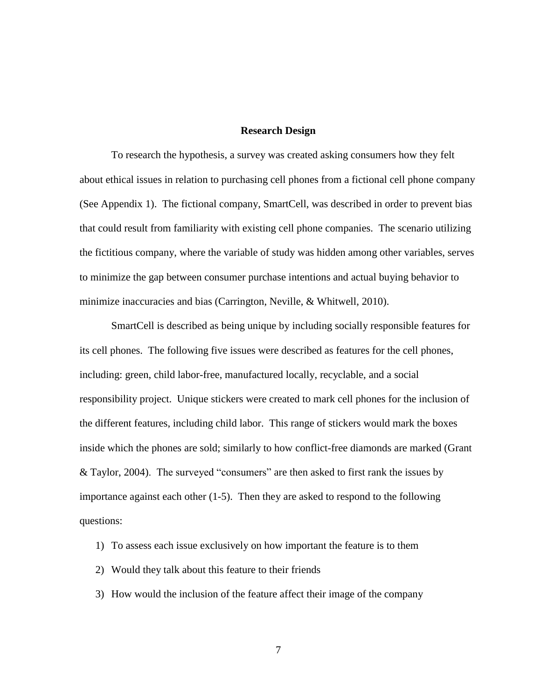## **Research Design**

<span id="page-12-0"></span>To research the hypothesis, a survey was created asking consumers how they felt about ethical issues in relation to purchasing cell phones from a fictional cell phone company (See Appendix 1). The fictional company, SmartCell, was described in order to prevent bias that could result from familiarity with existing cell phone companies. The scenario utilizing the fictitious company, where the variable of study was hidden among other variables, serves to minimize the gap between consumer purchase intentions and actual buying behavior to minimize inaccuracies and bias (Carrington, Neville, & Whitwell, 2010).

SmartCell is described as being unique by including socially responsible features for its cell phones. The following five issues were described as features for the cell phones, including: green, child labor-free, manufactured locally, recyclable, and a social responsibility project. Unique stickers were created to mark cell phones for the inclusion of the different features, including child labor. This range of stickers would mark the boxes inside which the phones are sold; similarly to how conflict-free diamonds are marked (Grant & Taylor, 2004). The surveyed "consumers" are then asked to first rank the issues by importance against each other (1-5). Then they are asked to respond to the following questions:

- 1) To assess each issue exclusively on how important the feature is to them
- 2) Would they talk about this feature to their friends
- 3) How would the inclusion of the feature affect their image of the company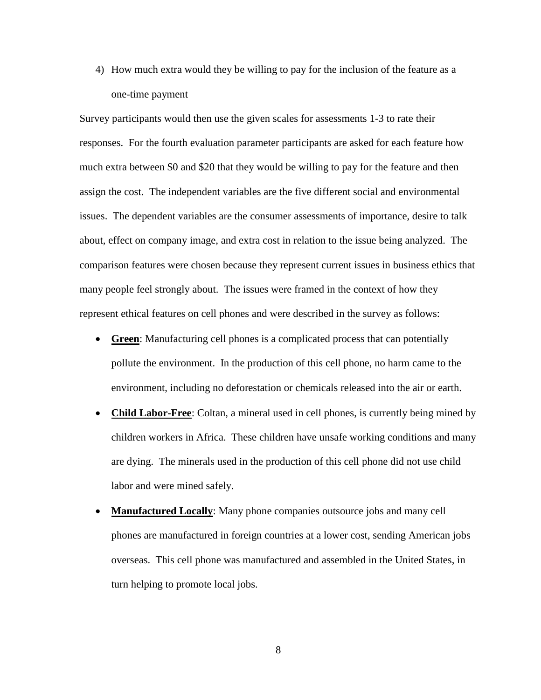4) How much extra would they be willing to pay for the inclusion of the feature as a one-time payment

Survey participants would then use the given scales for assessments 1-3 to rate their responses. For the fourth evaluation parameter participants are asked for each feature how much extra between \$0 and \$20 that they would be willing to pay for the feature and then assign the cost. The independent variables are the five different social and environmental issues. The dependent variables are the consumer assessments of importance, desire to talk about, effect on company image, and extra cost in relation to the issue being analyzed. The comparison features were chosen because they represent current issues in business ethics that many people feel strongly about. The issues were framed in the context of how they represent ethical features on cell phones and were described in the survey as follows:

- **Green**: Manufacturing cell phones is a complicated process that can potentially pollute the environment. In the production of this cell phone, no harm came to the environment, including no deforestation or chemicals released into the air or earth.
- **Child Labor-Free**: Coltan, a mineral used in cell phones, is currently being mined by children workers in Africa. These children have unsafe working conditions and many are dying. The minerals used in the production of this cell phone did not use child labor and were mined safely.
- **Manufactured Locally**: Many phone companies outsource jobs and many cell phones are manufactured in foreign countries at a lower cost, sending American jobs overseas. This cell phone was manufactured and assembled in the United States, in turn helping to promote local jobs.

8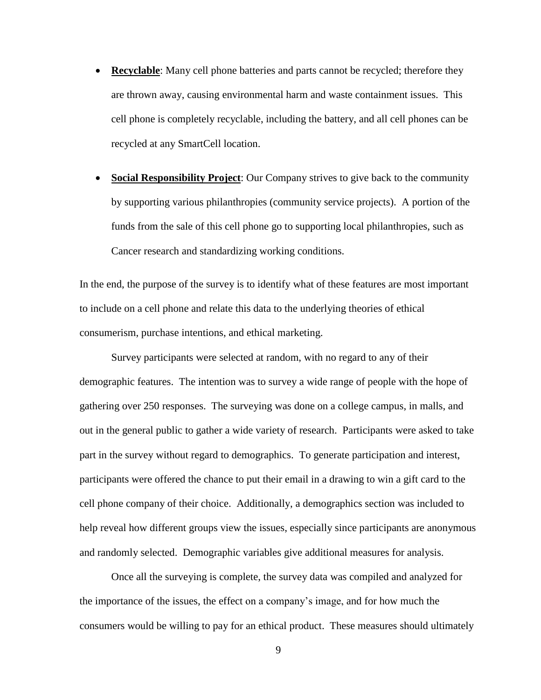- **Recyclable**: Many cell phone batteries and parts cannot be recycled; therefore they are thrown away, causing environmental harm and waste containment issues. This cell phone is completely recyclable, including the battery, and all cell phones can be recycled at any SmartCell location.
- **Social Responsibility Project**: Our Company strives to give back to the community by supporting various philanthropies (community service projects). A portion of the funds from the sale of this cell phone go to supporting local philanthropies, such as Cancer research and standardizing working conditions.

In the end, the purpose of the survey is to identify what of these features are most important to include on a cell phone and relate this data to the underlying theories of ethical consumerism, purchase intentions, and ethical marketing.

Survey participants were selected at random, with no regard to any of their demographic features. The intention was to survey a wide range of people with the hope of gathering over 250 responses. The surveying was done on a college campus, in malls, and out in the general public to gather a wide variety of research. Participants were asked to take part in the survey without regard to demographics. To generate participation and interest, participants were offered the chance to put their email in a drawing to win a gift card to the cell phone company of their choice. Additionally, a demographics section was included to help reveal how different groups view the issues, especially since participants are anonymous and randomly selected. Demographic variables give additional measures for analysis.

Once all the surveying is complete, the survey data was compiled and analyzed for the importance of the issues, the effect on a company's image, and for how much the consumers would be willing to pay for an ethical product. These measures should ultimately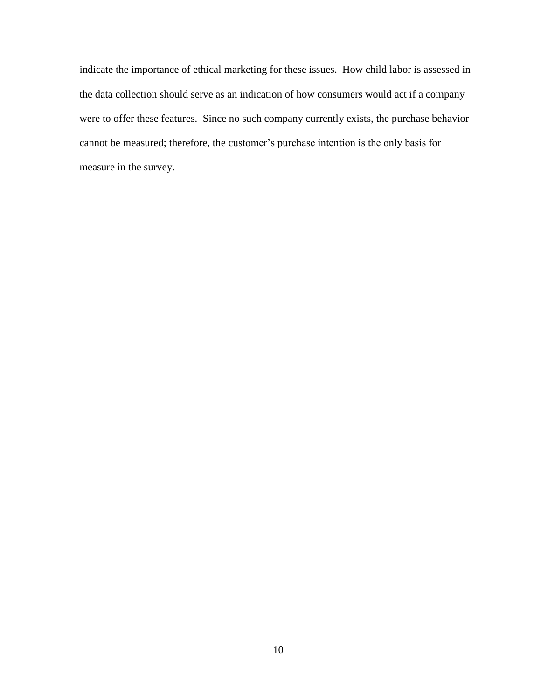indicate the importance of ethical marketing for these issues. How child labor is assessed in the data collection should serve as an indication of how consumers would act if a company were to offer these features. Since no such company currently exists, the purchase behavior cannot be measured; therefore, the customer's purchase intention is the only basis for measure in the survey.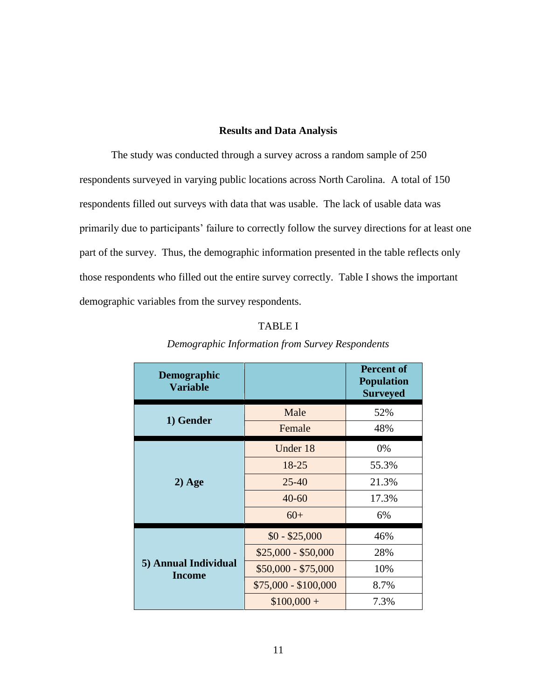# **Results and Data Analysis**

<span id="page-16-0"></span>The study was conducted through a survey across a random sample of 250 respondents surveyed in varying public locations across North Carolina. A total of 150 respondents filled out surveys with data that was usable. The lack of usable data was primarily due to participants' failure to correctly follow the survey directions for at least one part of the survey. Thus, the demographic information presented in the table reflects only those respondents who filled out the entire survey correctly. Table I shows the important demographic variables from the survey respondents.

# TABLE I

<span id="page-16-1"></span>

| <b>Demographic</b><br><b>Variable</b> |                      | <b>Percent of</b><br><b>Population</b><br><b>Surveyed</b> |
|---------------------------------------|----------------------|-----------------------------------------------------------|
| 1) Gender                             | Male                 | 52%                                                       |
|                                       | Female               | 48%                                                       |
| $2)$ Age                              | Under 18             | 0%                                                        |
|                                       | $18 - 25$            | 55.3%                                                     |
|                                       | $25 - 40$            | 21.3%                                                     |
|                                       | $40 - 60$            | 17.3%                                                     |
|                                       | $60+$                | 6%                                                        |
| 5) Annual Individual<br><b>Income</b> | $$0 - $25,000$       | 46%                                                       |
|                                       | $$25,000 - $50,000$  | 28%                                                       |
|                                       | $$50,000 - $75,000$  | 10%                                                       |
|                                       | $$75,000 - $100,000$ | 8.7%                                                      |
|                                       | $$100,000 +$         | 7.3%                                                      |

# *Demographic Information from Survey Respondents*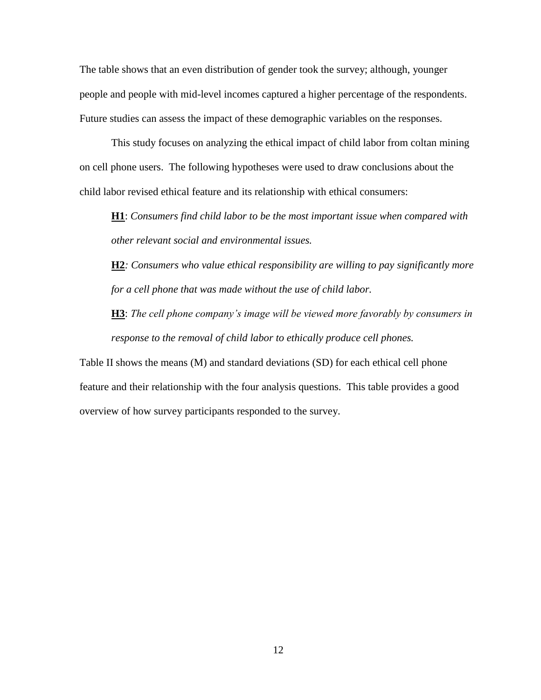The table shows that an even distribution of gender took the survey; although, younger people and people with mid-level incomes captured a higher percentage of the respondents. Future studies can assess the impact of these demographic variables on the responses.

This study focuses on analyzing the ethical impact of child labor from coltan mining on cell phone users. The following hypotheses were used to draw conclusions about the child labor revised ethical feature and its relationship with ethical consumers:

**H1**: *Consumers find child labor to be the most important issue when compared with other relevant social and environmental issues.*

**H2***: Consumers who value ethical responsibility are willing to pay significantly more for a cell phone that was made without the use of child labor.*

**H3**: *The cell phone company's image will be viewed more favorably by consumers in response to the removal of child labor to ethically produce cell phones.*

Table II shows the means (M) and standard deviations (SD) for each ethical cell phone feature and their relationship with the four analysis questions. This table provides a good overview of how survey participants responded to the survey.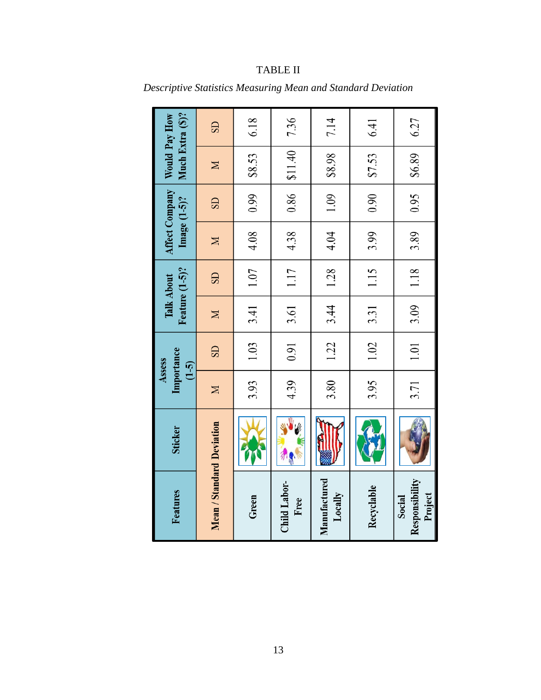| Features                            | <b>Sticker</b> | Importance<br>Assess<br>$(1-5)$ |                        |             | Feature (1-5)?<br>Talk About | Image $(1-5)$ ? | <b>Affect Company</b> | Much Extra (\$)?<br>Would Pay How |           |
|-------------------------------------|----------------|---------------------------------|------------------------|-------------|------------------------------|-----------------|-----------------------|-----------------------------------|-----------|
| Mean / Standard Deviation           |                | $\boxtimes$                     | $\overline{\text{SD}}$ | $\mathbb N$ | $\overline{\text{S}}$        | $\boxtimes$     | $\overline{\text{S}}$ | $\boxtimes$                       | <b>GS</b> |
| Green                               |                | 3.93                            | 1.03                   | 3.41        | 1.07                         | 4.08            | 0.99                  | \$8.53                            | 6.18      |
| Child Labor-<br>Free                | 外界             | 4.39                            | 0.91                   | 3.61        | 1.17                         | 4.38            | 0.86                  | \$11.40                           | 7.36      |
| Manufactured<br>Locally             |                | 3.80                            | 1.22                   | 3.44        | 1.28                         | 4.04            | 1.09                  | \$6.8\$                           | 7.14      |
| Recyclable                          |                | 3.95                            | 1.02                   | 3.31        | 1.15                         | 3.99            | 0.90                  | \$7.53                            | 6.41      |
| Responsibility<br>Project<br>Social |                | 3.71                            | 1.01                   | 3.09        | 1.18                         | 3.89            | 0.95                  | \$6.89                            | 6.27      |

# TABLE II

<span id="page-18-0"></span>*Descriptive Statistics Measuring Mean and Standard Deviation*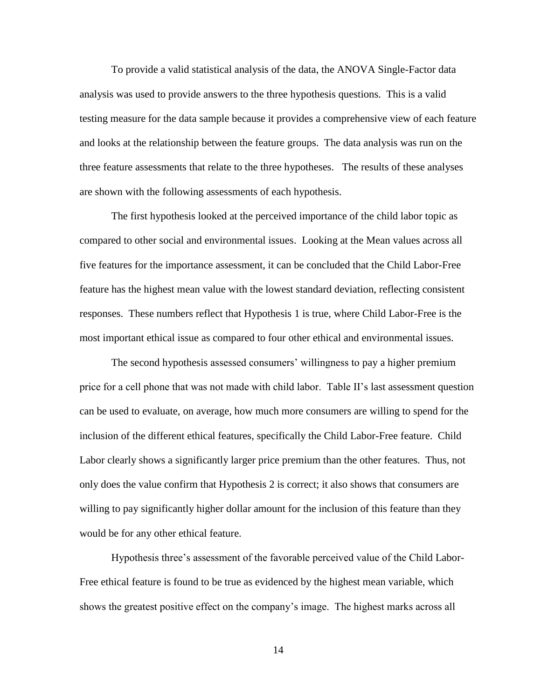To provide a valid statistical analysis of the data, the ANOVA Single-Factor data analysis was used to provide answers to the three hypothesis questions. This is a valid testing measure for the data sample because it provides a comprehensive view of each feature and looks at the relationship between the feature groups. The data analysis was run on the three feature assessments that relate to the three hypotheses. The results of these analyses are shown with the following assessments of each hypothesis.

The first hypothesis looked at the perceived importance of the child labor topic as compared to other social and environmental issues. Looking at the Mean values across all five features for the importance assessment, it can be concluded that the Child Labor-Free feature has the highest mean value with the lowest standard deviation, reflecting consistent responses. These numbers reflect that Hypothesis 1 is true, where Child Labor-Free is the most important ethical issue as compared to four other ethical and environmental issues.

The second hypothesis assessed consumers' willingness to pay a higher premium price for a cell phone that was not made with child labor. Table II's last assessment question can be used to evaluate, on average, how much more consumers are willing to spend for the inclusion of the different ethical features, specifically the Child Labor-Free feature. Child Labor clearly shows a significantly larger price premium than the other features. Thus, not only does the value confirm that Hypothesis 2 is correct; it also shows that consumers are willing to pay significantly higher dollar amount for the inclusion of this feature than they would be for any other ethical feature.

Hypothesis three's assessment of the favorable perceived value of the Child Labor-Free ethical feature is found to be true as evidenced by the highest mean variable, which shows the greatest positive effect on the company's image. The highest marks across all

14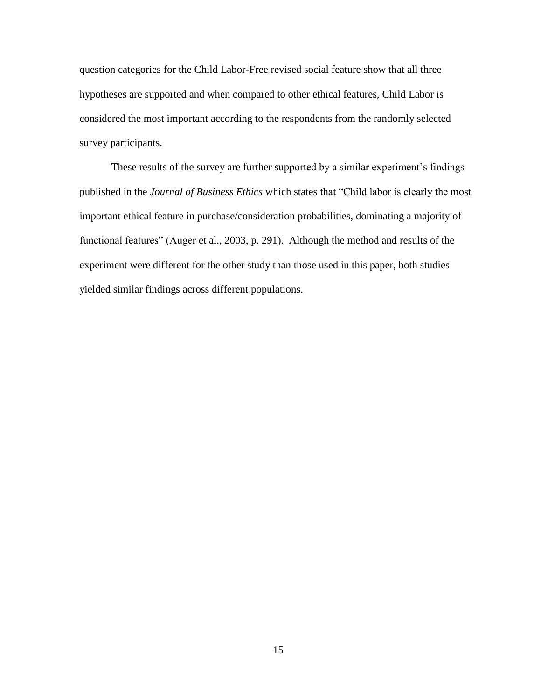question categories for the Child Labor-Free revised social feature show that all three hypotheses are supported and when compared to other ethical features, Child Labor is considered the most important according to the respondents from the randomly selected survey participants.

These results of the survey are further supported by a similar experiment's findings published in the *Journal of Business Ethics* which states that "Child labor is clearly the most important ethical feature in purchase/consideration probabilities, dominating a majority of functional features" (Auger et al., 2003, p. 291). Although the method and results of the experiment were different for the other study than those used in this paper, both studies yielded similar findings across different populations.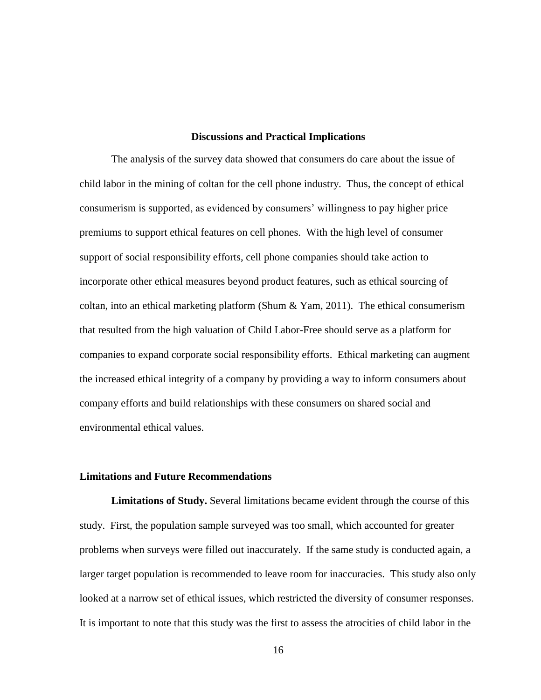# **Discussions and Practical Implications**

The analysis of the survey data showed that consumers do care about the issue of child labor in the mining of coltan for the cell phone industry. Thus, the concept of ethical consumerism is supported, as evidenced by consumers' willingness to pay higher price premiums to support ethical features on cell phones. With the high level of consumer support of social responsibility efforts, cell phone companies should take action to incorporate other ethical measures beyond product features, such as ethical sourcing of coltan, into an ethical marketing platform (Shum & Yam, 2011). The ethical consumerism that resulted from the high valuation of Child Labor-Free should serve as a platform for companies to expand corporate social responsibility efforts. Ethical marketing can augment the increased ethical integrity of a company by providing a way to inform consumers about company efforts and build relationships with these consumers on shared social and environmental ethical values.

# <span id="page-21-0"></span>**Limitations and Future Recommendations**

<span id="page-21-1"></span>**Limitations of Study.** Several limitations became evident through the course of this study. First, the population sample surveyed was too small, which accounted for greater problems when surveys were filled out inaccurately. If the same study is conducted again, a larger target population is recommended to leave room for inaccuracies. This study also only looked at a narrow set of ethical issues, which restricted the diversity of consumer responses. It is important to note that this study was the first to assess the atrocities of child labor in the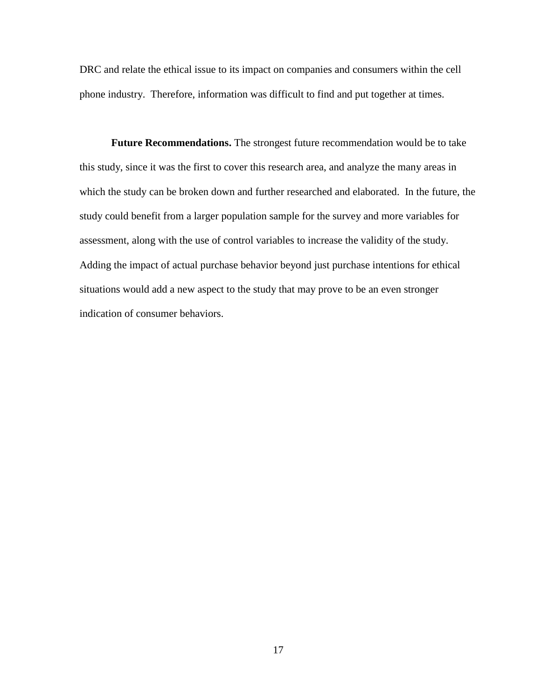DRC and relate the ethical issue to its impact on companies and consumers within the cell phone industry. Therefore, information was difficult to find and put together at times.

<span id="page-22-0"></span>**Future Recommendations.** The strongest future recommendation would be to take this study, since it was the first to cover this research area, and analyze the many areas in which the study can be broken down and further researched and elaborated. In the future, the study could benefit from a larger population sample for the survey and more variables for assessment, along with the use of control variables to increase the validity of the study. Adding the impact of actual purchase behavior beyond just purchase intentions for ethical situations would add a new aspect to the study that may prove to be an even stronger indication of consumer behaviors.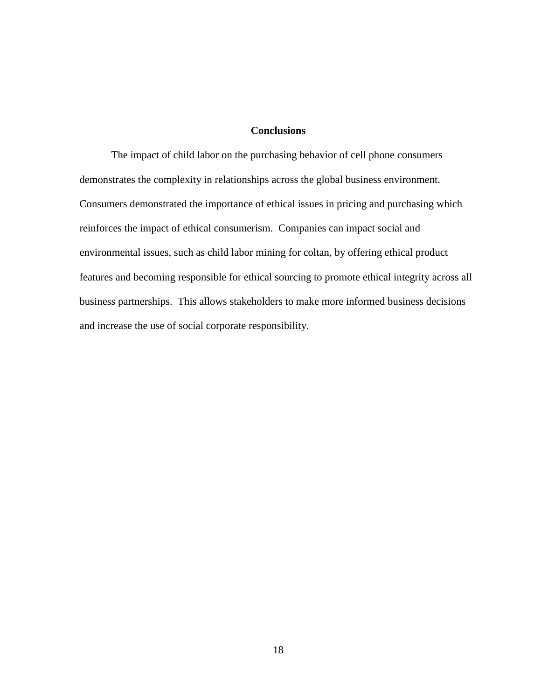# **Conclusions**

<span id="page-23-0"></span>The impact of child labor on the purchasing behavior of cell phone consumers demonstrates the complexity in relationships across the global business environment. Consumers demonstrated the importance of ethical issues in pricing and purchasing which reinforces the impact of ethical consumerism. Companies can impact social and environmental issues, such as child labor mining for coltan, by offering ethical product features and becoming responsible for ethical sourcing to promote ethical integrity across all business partnerships. This allows stakeholders to make more informed business decisions and increase the use of social corporate responsibility.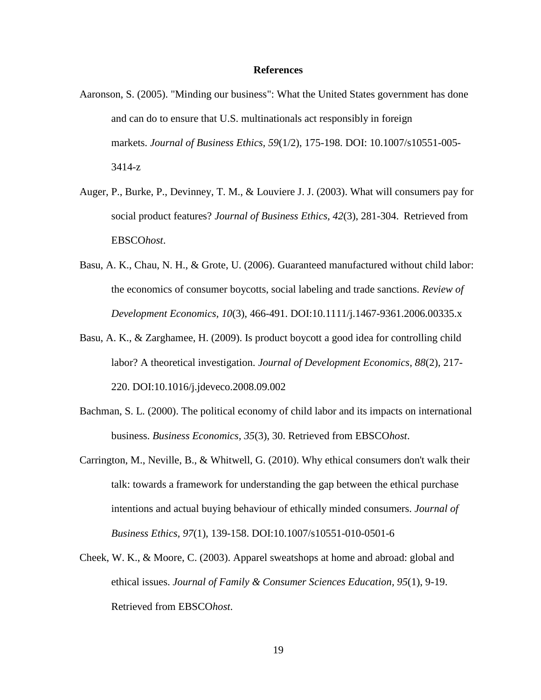#### **References**

- <span id="page-24-0"></span>Aaronson, S. (2005). "Minding our business": What the United States government has done and can do to ensure that U.S. multinationals act responsibly in foreign markets. *Journal of Business Ethics, 59*(1/2), 175-198. DOI: 10.1007/s10551-005- 3414-z
- Auger, P., Burke, P., Devinney, T. M., & Louviere J. J. (2003). What will consumers pay for social product features? *Journal of Business Ethics, 42*(3), 281-304. Retrieved from EBSCO*host*.
- Basu, A. K., Chau, N. H., & Grote, U. (2006). Guaranteed manufactured without child labor: the economics of consumer boycotts, social labeling and trade sanctions. *Review of Development Economics, 10*(3), 466-491. DOI:10.1111/j.1467-9361.2006.00335.x
- Basu, A. K., & Zarghamee, H. (2009). Is product boycott a good idea for controlling child labor? A theoretical investigation. *Journal of Development Economics, 88*(2), 217- 220. DOI:10.1016/j.jdeveco.2008.09.002
- Bachman, S. L. (2000). The political economy of child labor and its impacts on international business. *Business Economics, 35*(3), 30. Retrieved from EBSCO*host*.
- Carrington, M., Neville, B., & Whitwell, G. (2010). Why ethical consumers don't walk their talk: towards a framework for understanding the gap between the ethical purchase intentions and actual buying behaviour of ethically minded consumers. *Journal of Business Ethics, 97*(1), 139-158. DOI:10.1007/s10551-010-0501-6
- Cheek, W. K., & Moore, C. (2003). Apparel sweatshops at home and abroad: global and ethical issues. *Journal of Family & Consumer Sciences Education, 95*(1), 9-19. Retrieved from EBSCO*host*.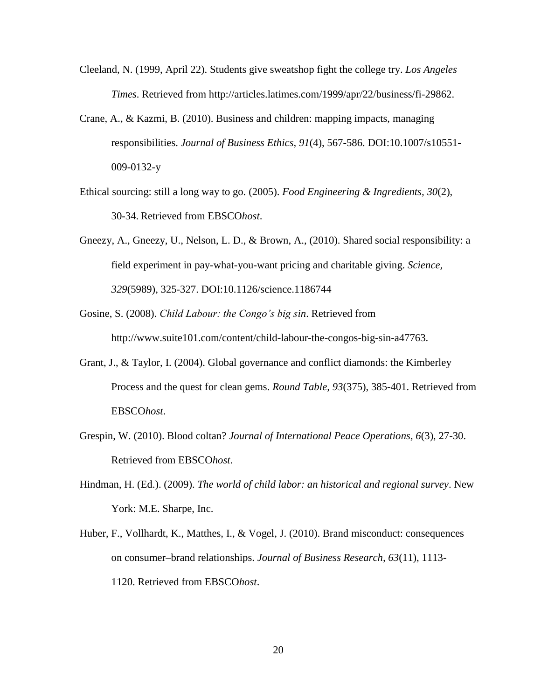- Cleeland, N. (1999, April 22). Students give sweatshop fight the college try. *Los Angeles Times*. Retrieved from http://articles.latimes.com/1999/apr/22/business/fi-29862.
- Crane, A., & Kazmi, B. (2010). Business and children: mapping impacts, managing responsibilities. *Journal of Business Ethics, 91*(4), 567-586. DOI:10.1007/s10551- 009-0132-y
- Ethical sourcing: still a long way to go. (2005). *Food Engineering & Ingredients, 30*(2), 30-34. Retrieved from EBSCO*host*.
- Gneezy, A., Gneezy, U., Nelson, L. D., & Brown, A., (2010). Shared social responsibility: a field experiment in pay-what-you-want pricing and charitable giving. *Science, 329*(5989), 325-327. DOI:10.1126/science.1186744
- Gosine, S. (2008). *Child Labour: the Congo's big sin*. Retrieved from http://www.suite101.com/content/child-labour-the-congos-big-sin-a47763.
- Grant, J., & Taylor, I. (2004). Global governance and conflict diamonds: the Kimberley Process and the quest for clean gems. *Round Table, 93*(375), 385-401. Retrieved from EBSCO*host*.
- Grespin, W. (2010). Blood coltan? *Journal of International Peace Operations, 6*(3), 27-30. Retrieved from EBSCO*host*.
- Hindman, H. (Ed.). (2009). *The world of child labor: an historical and regional survey*. New York: M.E. Sharpe, Inc.
- Huber, F., Vollhardt, K., Matthes, I., & Vogel, J. (2010). Brand misconduct: consequences on consumer–brand relationships. *Journal of Business Research, 63*(11), 1113- 1120. Retrieved from EBSCO*host*.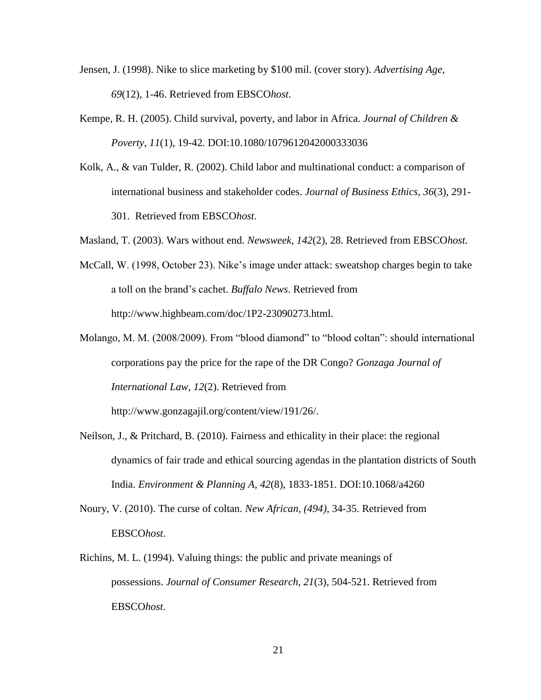- Jensen, J. (1998). Nike to slice marketing by \$100 mil. (cover story). *Advertising Age, 69*(12), 1-46. Retrieved from EBSCO*host*.
- Kempe, R. H. (2005). Child survival, poverty, and labor in Africa. *Journal of Children & Poverty, 11*(1), 19-42. DOI:10.1080/1079612042000333036
- Kolk, A., & van Tulder, R. (2002). Child labor and multinational conduct: a comparison of international business and stakeholder codes. *Journal of Business Ethics, 36*(3), 291- 301. Retrieved from EBSCO*host*.
- Masland, T. (2003). Wars without end. *Newsweek, 142*(2), 28. Retrieved from EBSCO*host*.
- McCall, W. (1998, October 23). Nike's image under attack: sweatshop charges begin to take a toll on the brand's cachet. *Buffalo News*. Retrieved from http://www.highbeam.com/doc/1P2-23090273.html.
- Molango, M. M. (2008/2009). From "blood diamond" to "blood coltan": should international corporations pay the price for the rape of the DR Congo? *Gonzaga Journal of International Law, 12*(2). Retrieved from

http://www.gonzagajil.org/content/view/191/26/.

- Neilson, J., & Pritchard, B. (2010). Fairness and ethicality in their place: the regional dynamics of fair trade and ethical sourcing agendas in the plantation districts of South India. *Environment & Planning A, 42*(8), 1833-1851. DOI:10.1068/a4260
- Noury, V. (2010). The curse of coltan. *New African, (494)*, 34-35. Retrieved from EBSCO*host*.
- Richins, M. L. (1994). Valuing things: the public and private meanings of possessions. *Journal of Consumer Research, 21*(3), 504-521. Retrieved from EBSCO*host*.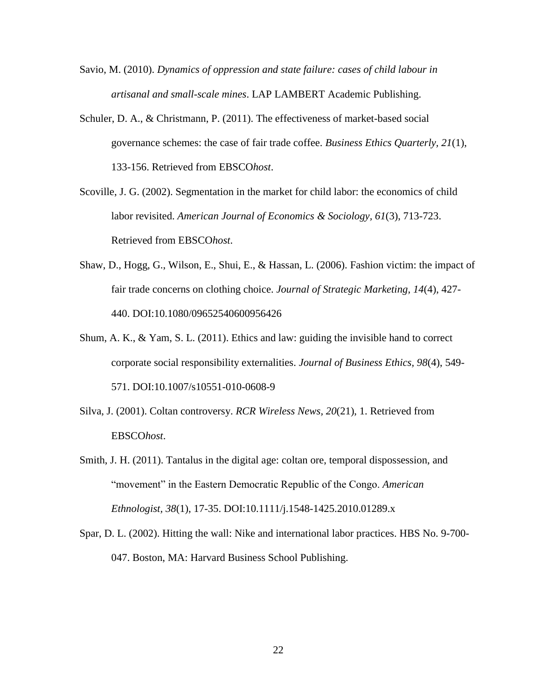- Savio, M. (2010). *Dynamics of oppression and state failure: cases of child labour in artisanal and small-scale mines*. LAP LAMBERT Academic Publishing.
- Schuler, D. A., & Christmann, P. (2011). The effectiveness of market-based social governance schemes: the case of fair trade coffee. *Business Ethics Quarterly, 21*(1), 133-156. Retrieved from EBSCO*host*.
- Scoville, J. G. (2002). Segmentation in the market for child labor: the economics of child labor revisited. *American Journal of Economics & Sociology, 61*(3), 713-723. Retrieved from EBSCO*host*.
- Shaw, D., Hogg, G., Wilson, E., Shui, E., & Hassan, L. (2006). Fashion victim: the impact of fair trade concerns on clothing choice. *Journal of Strategic Marketing, 14*(4), 427- 440. DOI:10.1080/09652540600956426
- Shum, A. K.,  $\&$  Yam, S. L. (2011). Ethics and law: guiding the invisible hand to correct corporate social responsibility externalities. *Journal of Business Ethics, 98*(4), 549- 571. DOI:10.1007/s10551-010-0608-9
- Silva, J. (2001). Coltan controversy. *RCR Wireless News, 20*(21), 1. Retrieved from EBSCO*host*.
- Smith, J. H. (2011). Tantalus in the digital age: coltan ore, temporal dispossession, and "movement" in the Eastern Democratic Republic of the Congo. *American Ethnologist, 38*(1), 17-35. DOI:10.1111/j.1548-1425.2010.01289.x
- Spar, D. L. (2002). Hitting the wall: Nike and international labor practices. HBS No. 9-700- 047. Boston, MA: Harvard Business School Publishing.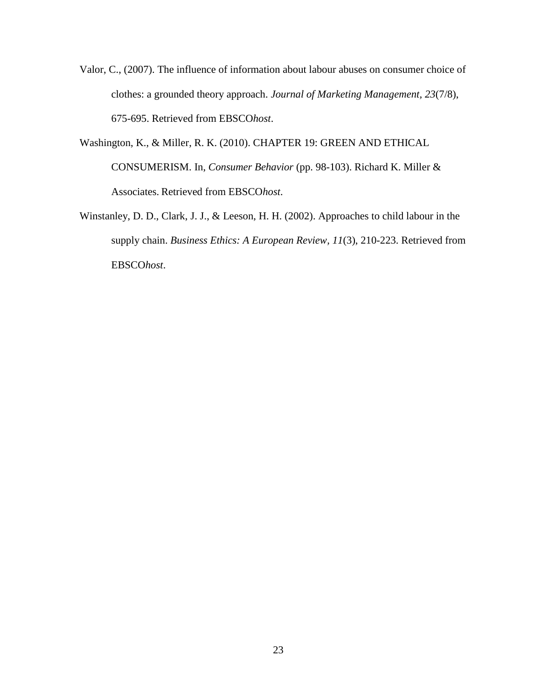- Valor, C., (2007). The influence of information about labour abuses on consumer choice of clothes: a grounded theory approach. *Journal of Marketing Management, 23*(7/8), 675-695. Retrieved from EBSCO*host*.
- Washington, K., & Miller, R. K. (2010). CHAPTER 19: GREEN AND ETHICAL CONSUMERISM. In, *Consumer Behavior* (pp. 98-103). Richard K. Miller & Associates. Retrieved from EBSCO*host*.
- Winstanley, D. D., Clark, J. J., & Leeson, H. H. (2002). Approaches to child labour in the supply chain. *Business Ethics: A European Review, 11*(3), 210-223. Retrieved from EBSCO*host*.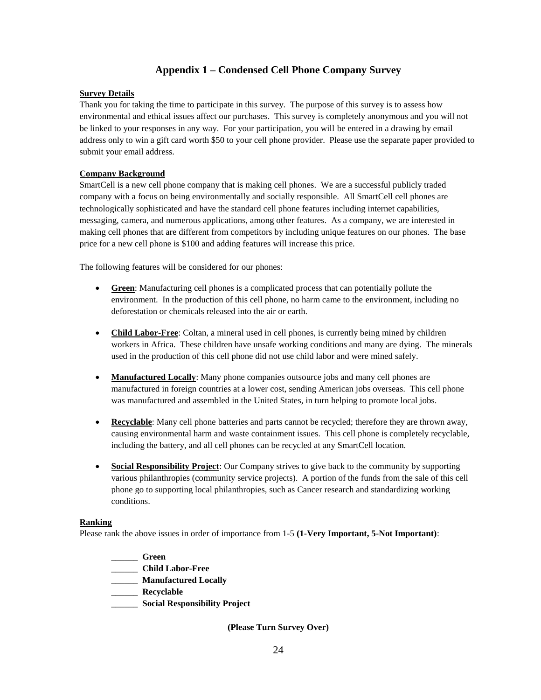# **Appendix 1 – Condensed Cell Phone Company Survey**

#### <span id="page-29-0"></span>**Survey Details**

Thank you for taking the time to participate in this survey. The purpose of this survey is to assess how environmental and ethical issues affect our purchases. This survey is completely anonymous and you will not be linked to your responses in any way. For your participation, you will be entered in a drawing by email address only to win a gift card worth \$50 to your cell phone provider. Please use the separate paper provided to submit your email address.

## **Company Background**

SmartCell is a new cell phone company that is making cell phones. We are a successful publicly traded company with a focus on being environmentally and socially responsible. All SmartCell cell phones are technologically sophisticated and have the standard cell phone features including internet capabilities, messaging, camera, and numerous applications, among other features. As a company, we are interested in making cell phones that are different from competitors by including unique features on our phones. The base price for a new cell phone is \$100 and adding features will increase this price.

The following features will be considered for our phones:

- **Green**: Manufacturing cell phones is a complicated process that can potentially pollute the environment. In the production of this cell phone, no harm came to the environment, including no deforestation or chemicals released into the air or earth.
- **Child Labor-Free**: Coltan, a mineral used in cell phones, is currently being mined by children workers in Africa. These children have unsafe working conditions and many are dying. The minerals used in the production of this cell phone did not use child labor and were mined safely.
- **Manufactured Locally**: Many phone companies outsource jobs and many cell phones are manufactured in foreign countries at a lower cost, sending American jobs overseas. This cell phone was manufactured and assembled in the United States, in turn helping to promote local jobs.
- **Recyclable**: Many cell phone batteries and parts cannot be recycled; therefore they are thrown away, causing environmental harm and waste containment issues. This cell phone is completely recyclable, including the battery, and all cell phones can be recycled at any SmartCell location.
- **Social Responsibility Project**: Our Company strives to give back to the community by supporting various philanthropies (community service projects). A portion of the funds from the sale of this cell phone go to supporting local philanthropies, such as Cancer research and standardizing working conditions.

#### **Ranking**

Please rank the above issues in order of importance from 1-5 **(1-Very Important, 5-Not Important)**:

- \_\_\_\_\_\_ **Green**
- \_\_\_\_\_\_ **Child Labor-Free**
- \_\_\_\_\_\_ **Manufactured Locally**
- \_\_\_\_\_\_ **Recyclable**
- \_\_\_\_\_\_ **Social Responsibility Project**

**(Please Turn Survey Over)**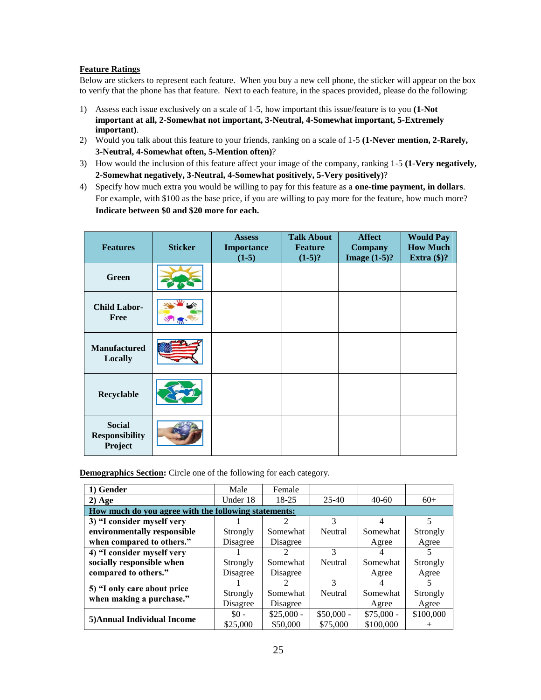#### **Feature Ratings**

Below are stickers to represent each feature. When you buy a new cell phone, the sticker will appear on the box to verify that the phone has that feature. Next to each feature, in the spaces provided, please do the following:

- 1) Assess each issue exclusively on a scale of 1-5, how important this issue/feature is to you **(1-Not important at all, 2-Somewhat not important, 3-Neutral, 4-Somewhat important, 5-Extremely important)**.
- 2) Would you talk about this feature to your friends, ranking on a scale of 1-5 **(1-Never mention, 2-Rarely, 3-Neutral, 4-Somewhat often, 5-Mention often)**?
- 3) How would the inclusion of this feature affect your image of the company, ranking 1-5 **(1-Very negatively, 2-Somewhat negatively, 3-Neutral, 4-Somewhat positively, 5-Very positively)**?
- 4) Specify how much extra you would be willing to pay for this feature as a **one-time payment, in dollars**. For example, with \$100 as the base price, if you are willing to pay more for the feature, how much more? **Indicate between \$0 and \$20 more for each.**

| <b>Features</b>                                   | <b>Sticker</b> | <b>Assess</b><br><b>Importance</b><br>$(1-5)$ | <b>Talk About</b><br><b>Feature</b><br>$(1-5)?$ | <b>Affect</b><br><b>Company</b><br>Image $(1-5)$ ? | <b>Would Pay</b><br><b>How Much</b><br>Extra $(\$)$ ? |
|---------------------------------------------------|----------------|-----------------------------------------------|-------------------------------------------------|----------------------------------------------------|-------------------------------------------------------|
| <b>Green</b>                                      |                |                                               |                                                 |                                                    |                                                       |
| <b>Child Labor-</b><br><b>Free</b>                |                |                                               |                                                 |                                                    |                                                       |
| <b>Manufactured</b><br>Locally                    |                |                                               |                                                 |                                                    |                                                       |
| Recyclable                                        |                |                                               |                                                 |                                                    |                                                       |
| <b>Social</b><br><b>Responsibility</b><br>Project |                |                                               |                                                 |                                                    |                                                       |

**Demographics Section:** Circle one of the following for each category.

| 1) Gender                                               | Male     | Female      |             |             |           |  |  |
|---------------------------------------------------------|----------|-------------|-------------|-------------|-----------|--|--|
| $2)$ Age                                                | Under 18 | 18-25       | $25 - 40$   | $40 - 60$   | $60+$     |  |  |
| How much do you agree with the following statements:    |          |             |             |             |           |  |  |
| 3) "I consider myself very                              |          |             | 3           | 4           | 5         |  |  |
| environmentally responsible                             | Strongly | Somewhat    | Neutral     | Somewhat    | Strongly  |  |  |
| when compared to others."                               | Disagree | Disagree    |             | Agree       | Agree     |  |  |
| 4) "I consider myself very                              |          |             | 3           |             |           |  |  |
| socially responsible when                               | Strongly | Somewhat    | Neutral     | Somewhat    | Strongly  |  |  |
| compared to others."                                    | Disagree | Disagree    |             | Agree       | Agree     |  |  |
|                                                         |          |             | 3           |             |           |  |  |
| 5) "I only care about price<br>when making a purchase." | Strongly | Somewhat    | Neutral     | Somewhat    | Strongly  |  |  |
|                                                         | Disagree | Disagree    |             | Agree       | Agree     |  |  |
| 5) Annual Individual Income                             | $$0 -$   | $$25,000 -$ | $$50,000 -$ | $$75,000 -$ | \$100,000 |  |  |
|                                                         | \$25,000 | \$50,000    | \$75,000    | \$100,000   |           |  |  |